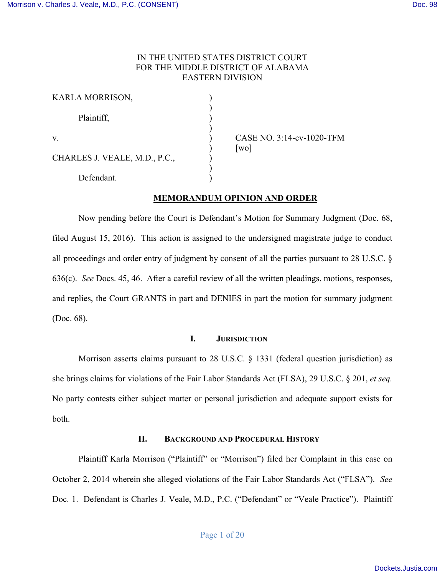# IN THE UNITED STATES DISTRICT COURT FOR THE MIDDLE DISTRICT OF ALABAMA EASTERN DIVISION

| KARLA MORRISON,               |  |
|-------------------------------|--|
| Plaintiff,                    |  |
| $V_{\cdot}$                   |  |
| CHARLES J. VEALE, M.D., P.C., |  |
| Defendant.                    |  |

CASE NO. 3:14-cv-1020-TFM  $\lceil$ wo $\rceil$ 

# **MEMORANDUM OPINION AND ORDER**

Now pending before the Court is Defendant's Motion for Summary Judgment (Doc. 68, filed August 15, 2016). This action is assigned to the undersigned magistrate judge to conduct all proceedings and order entry of judgment by consent of all the parties pursuant to 28 U.S.C. § 636(c). *See* Docs. 45, 46. After a careful review of all the written pleadings, motions, responses, and replies, the Court GRANTS in part and DENIES in part the motion for summary judgment (Doc. 68).

#### **I. JURISDICTION**

Morrison asserts claims pursuant to 28 U.S.C. § 1331 (federal question jurisdiction) as she brings claims for violations of the Fair Labor Standards Act (FLSA), 29 U.S.C. § 201, *et seq.* No party contests either subject matter or personal jurisdiction and adequate support exists for both.

## **II. BACKGROUND AND PROCEDURAL HISTORY**

Plaintiff Karla Morrison ("Plaintiff" or "Morrison") filed her Complaint in this case on October 2, 2014 wherein she alleged violations of the Fair Labor Standards Act ("FLSA"). *See*  Doc. 1. Defendant is Charles J. Veale, M.D., P.C. ("Defendant" or "Veale Practice"). Plaintiff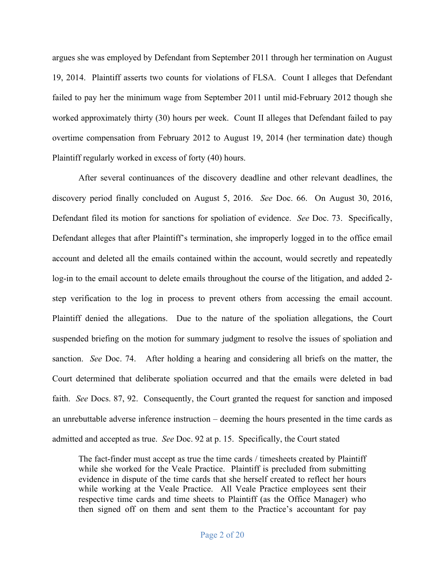argues she was employed by Defendant from September 2011 through her termination on August 19, 2014. Plaintiff asserts two counts for violations of FLSA. Count I alleges that Defendant failed to pay her the minimum wage from September 2011 until mid-February 2012 though she worked approximately thirty (30) hours per week. Count II alleges that Defendant failed to pay overtime compensation from February 2012 to August 19, 2014 (her termination date) though Plaintiff regularly worked in excess of forty (40) hours.

After several continuances of the discovery deadline and other relevant deadlines, the discovery period finally concluded on August 5, 2016. *See* Doc. 66. On August 30, 2016, Defendant filed its motion for sanctions for spoliation of evidence. *See* Doc. 73. Specifically, Defendant alleges that after Plaintiff's termination, she improperly logged in to the office email account and deleted all the emails contained within the account, would secretly and repeatedly log-in to the email account to delete emails throughout the course of the litigation, and added 2 step verification to the log in process to prevent others from accessing the email account. Plaintiff denied the allegations. Due to the nature of the spoliation allegations, the Court suspended briefing on the motion for summary judgment to resolve the issues of spoliation and sanction. *See* Doc. 74. After holding a hearing and considering all briefs on the matter, the Court determined that deliberate spoliation occurred and that the emails were deleted in bad faith. *See* Docs. 87, 92. Consequently, the Court granted the request for sanction and imposed an unrebuttable adverse inference instruction – deeming the hours presented in the time cards as admitted and accepted as true. *See* Doc. 92 at p. 15. Specifically, the Court stated

The fact-finder must accept as true the time cards / timesheets created by Plaintiff while she worked for the Veale Practice. Plaintiff is precluded from submitting evidence in dispute of the time cards that she herself created to reflect her hours while working at the Veale Practice. All Veale Practice employees sent their respective time cards and time sheets to Plaintiff (as the Office Manager) who then signed off on them and sent them to the Practice's accountant for pay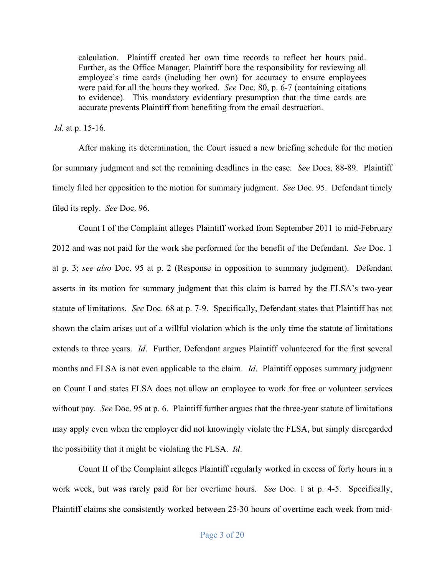calculation. Plaintiff created her own time records to reflect her hours paid. Further, as the Office Manager, Plaintiff bore the responsibility for reviewing all employee's time cards (including her own) for accuracy to ensure employees were paid for all the hours they worked. *See* Doc. 80, p. 6-7 (containing citations to evidence). This mandatory evidentiary presumption that the time cards are accurate prevents Plaintiff from benefiting from the email destruction.

*Id.* at p. 15-16.

After making its determination, the Court issued a new briefing schedule for the motion for summary judgment and set the remaining deadlines in the case. *See* Docs. 88-89. Plaintiff timely filed her opposition to the motion for summary judgment. *See* Doc. 95. Defendant timely filed its reply. *See* Doc. 96.

Count I of the Complaint alleges Plaintiff worked from September 2011 to mid-February 2012 and was not paid for the work she performed for the benefit of the Defendant. *See* Doc. 1 at p. 3; *see also* Doc. 95 at p. 2 (Response in opposition to summary judgment). Defendant asserts in its motion for summary judgment that this claim is barred by the FLSA's two-year statute of limitations. *See* Doc. 68 at p. 7-9. Specifically, Defendant states that Plaintiff has not shown the claim arises out of a willful violation which is the only time the statute of limitations extends to three years. *Id*. Further, Defendant argues Plaintiff volunteered for the first several months and FLSA is not even applicable to the claim. *Id*. Plaintiff opposes summary judgment on Count I and states FLSA does not allow an employee to work for free or volunteer services without pay. *See* Doc. 95 at p. 6. Plaintiff further argues that the three-year statute of limitations may apply even when the employer did not knowingly violate the FLSA, but simply disregarded the possibility that it might be violating the FLSA. *Id*.

Count II of the Complaint alleges Plaintiff regularly worked in excess of forty hours in a work week, but was rarely paid for her overtime hours. *See* Doc. 1 at p. 4-5. Specifically, Plaintiff claims she consistently worked between 25-30 hours of overtime each week from mid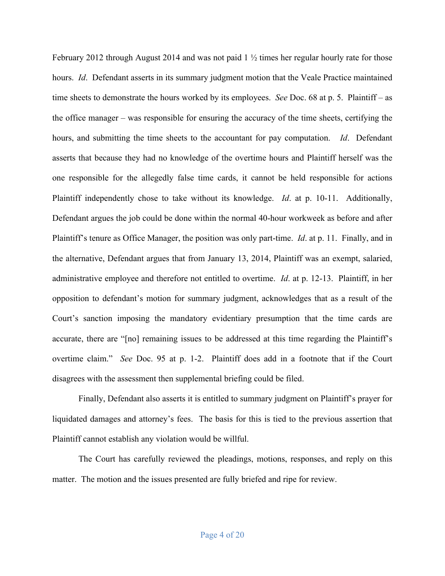February 2012 through August 2014 and was not paid  $1 \frac{1}{2}$  times her regular hourly rate for those hours. *Id.* Defendant asserts in its summary judgment motion that the Veale Practice maintained time sheets to demonstrate the hours worked by its employees. *See* Doc. 68 at p. 5. Plaintiff – as the office manager – was responsible for ensuring the accuracy of the time sheets, certifying the hours, and submitting the time sheets to the accountant for pay computation. *Id*. Defendant asserts that because they had no knowledge of the overtime hours and Plaintiff herself was the one responsible for the allegedly false time cards, it cannot be held responsible for actions Plaintiff independently chose to take without its knowledge. *Id*. at p. 10-11. Additionally, Defendant argues the job could be done within the normal 40-hour workweek as before and after Plaintiff's tenure as Office Manager, the position was only part-time. *Id*. at p. 11. Finally, and in the alternative, Defendant argues that from January 13, 2014, Plaintiff was an exempt, salaried, administrative employee and therefore not entitled to overtime. *Id*. at p. 12-13. Plaintiff, in her opposition to defendant's motion for summary judgment, acknowledges that as a result of the Court's sanction imposing the mandatory evidentiary presumption that the time cards are accurate, there are "[no] remaining issues to be addressed at this time regarding the Plaintiff's overtime claim." *See* Doc. 95 at p. 1-2. Plaintiff does add in a footnote that if the Court disagrees with the assessment then supplemental briefing could be filed.

Finally, Defendant also asserts it is entitled to summary judgment on Plaintiff's prayer for liquidated damages and attorney's fees. The basis for this is tied to the previous assertion that Plaintiff cannot establish any violation would be willful.

The Court has carefully reviewed the pleadings, motions, responses, and reply on this matter. The motion and the issues presented are fully briefed and ripe for review.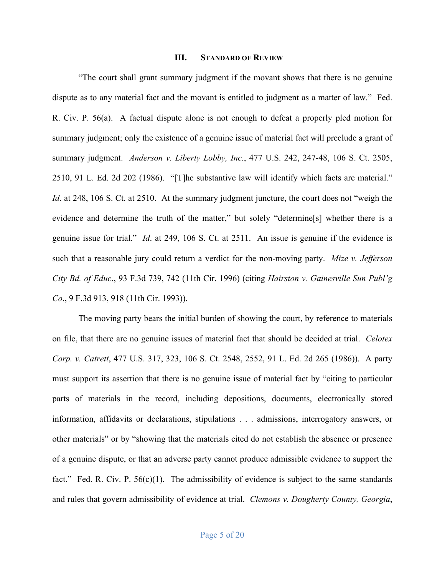#### **III. STANDARD OF REVIEW**

"The court shall grant summary judgment if the movant shows that there is no genuine dispute as to any material fact and the movant is entitled to judgment as a matter of law." Fed. R. Civ. P. 56(a). A factual dispute alone is not enough to defeat a properly pled motion for summary judgment; only the existence of a genuine issue of material fact will preclude a grant of summary judgment. *Anderson v. Liberty Lobby, Inc.*, 477 U.S. 242, 247-48, 106 S. Ct. 2505, 2510, 91 L. Ed. 2d 202 (1986). "[T]he substantive law will identify which facts are material." *Id.* at 248, 106 S. Ct. at 2510. At the summary judgment juncture, the court does not "weigh the evidence and determine the truth of the matter," but solely "determine[s] whether there is a genuine issue for trial." *Id*. at 249, 106 S. Ct. at 2511. An issue is genuine if the evidence is such that a reasonable jury could return a verdict for the non-moving party. *Mize v. Jefferson City Bd. of Educ*., 93 F.3d 739, 742 (11th Cir. 1996) (citing *Hairston v. Gainesville Sun Publ'g Co*., 9 F.3d 913, 918 (11th Cir. 1993)).

The moving party bears the initial burden of showing the court, by reference to materials on file, that there are no genuine issues of material fact that should be decided at trial. *Celotex Corp. v. Catrett*, 477 U.S. 317, 323, 106 S. Ct. 2548, 2552, 91 L. Ed. 2d 265 (1986)). A party must support its assertion that there is no genuine issue of material fact by "citing to particular parts of materials in the record, including depositions, documents, electronically stored information, affidavits or declarations, stipulations . . . admissions, interrogatory answers, or other materials" or by "showing that the materials cited do not establish the absence or presence of a genuine dispute, or that an adverse party cannot produce admissible evidence to support the fact." Fed. R. Civ. P.  $56(c)(1)$ . The admissibility of evidence is subject to the same standards and rules that govern admissibility of evidence at trial. *Clemons v. Dougherty County, Georgia*,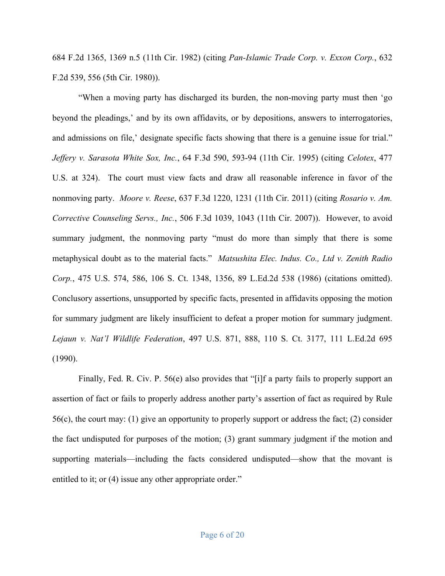684 F.2d 1365, 1369 n.5 (11th Cir. 1982) (citing *Pan-Islamic Trade Corp. v. Exxon Corp.*, 632 F.2d 539, 556 (5th Cir. 1980)).

"When a moving party has discharged its burden, the non-moving party must then 'go beyond the pleadings,' and by its own affidavits, or by depositions, answers to interrogatories, and admissions on file,' designate specific facts showing that there is a genuine issue for trial." *Jeffery v. Sarasota White Sox, Inc.*, 64 F.3d 590, 593-94 (11th Cir. 1995) (citing *Celotex*, 477 U.S. at 324). The court must view facts and draw all reasonable inference in favor of the nonmoving party. *Moore v. Reese*, 637 F.3d 1220, 1231 (11th Cir. 2011) (citing *Rosario v. Am. Corrective Counseling Servs., Inc.*, 506 F.3d 1039, 1043 (11th Cir. 2007)). However, to avoid summary judgment, the nonmoving party "must do more than simply that there is some metaphysical doubt as to the material facts." *Matsushita Elec. Indus. Co., Ltd v. Zenith Radio Corp.*, 475 U.S. 574, 586, 106 S. Ct. 1348, 1356, 89 L.Ed.2d 538 (1986) (citations omitted). Conclusory assertions, unsupported by specific facts, presented in affidavits opposing the motion for summary judgment are likely insufficient to defeat a proper motion for summary judgment. *Lejaun v. Nat'l Wildlife Federation*, 497 U.S. 871, 888, 110 S. Ct. 3177, 111 L.Ed.2d 695 (1990).

Finally, Fed. R. Civ. P. 56(e) also provides that "[i]f a party fails to properly support an assertion of fact or fails to properly address another party's assertion of fact as required by Rule 56(c), the court may: (1) give an opportunity to properly support or address the fact; (2) consider the fact undisputed for purposes of the motion; (3) grant summary judgment if the motion and supporting materials—including the facts considered undisputed—show that the movant is entitled to it; or  $(4)$  issue any other appropriate order."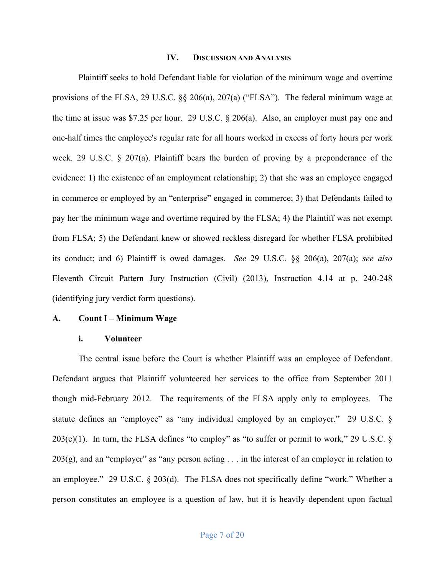#### **IV. DISCUSSION AND ANALYSIS**

Plaintiff seeks to hold Defendant liable for violation of the minimum wage and overtime provisions of the FLSA, 29 U.S.C. §§ 206(a), 207(a) ("FLSA"). The federal minimum wage at the time at issue was \$7.25 per hour. 29 U.S.C. § 206(a). Also, an employer must pay one and one-half times the employee's regular rate for all hours worked in excess of forty hours per work week. 29 U.S.C. § 207(a). Plaintiff bears the burden of proving by a preponderance of the evidence: 1) the existence of an employment relationship; 2) that she was an employee engaged in commerce or employed by an "enterprise" engaged in commerce; 3) that Defendants failed to pay her the minimum wage and overtime required by the FLSA; 4) the Plaintiff was not exempt from FLSA; 5) the Defendant knew or showed reckless disregard for whether FLSA prohibited its conduct; and 6) Plaintiff is owed damages. *See* 29 U.S.C. §§ 206(a), 207(a); *see also* Eleventh Circuit Pattern Jury Instruction (Civil) (2013), Instruction 4.14 at p. 240-248 (identifying jury verdict form questions).

### **A. Count I – Minimum Wage**

#### **i. Volunteer**

The central issue before the Court is whether Plaintiff was an employee of Defendant. Defendant argues that Plaintiff volunteered her services to the office from September 2011 though mid-February 2012. The requirements of the FLSA apply only to employees. The statute defines an "employee" as "any individual employed by an employer." 29 U.S.C. §  $203(e)(1)$ . In turn, the FLSA defines "to employ" as "to suffer or permit to work," 29 U.S.C. §  $203(g)$ , and an "employer" as "any person acting  $\ldots$  in the interest of an employer in relation to an employee." 29 U.S.C. § 203(d). The FLSA does not specifically define "work." Whether a person constitutes an employee is a question of law, but it is heavily dependent upon factual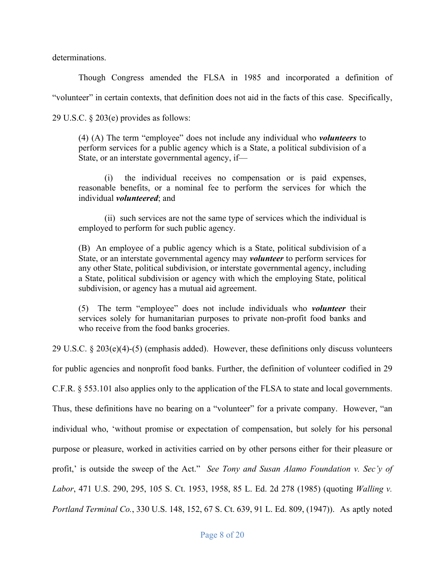determinations.

Though Congress amended the FLSA in 1985 and incorporated a definition of "volunteer" in certain contexts, that definition does not aid in the facts of this case. Specifically, 29 U.S.C. § 203(e) provides as follows:

(4) (A) The term "employee" does not include any individual who *volunteers* to perform services for a public agency which is a State, a political subdivision of a State, or an interstate governmental agency, if—

(i) the individual receives no compensation or is paid expenses, reasonable benefits, or a nominal fee to perform the services for which the individual *volunteered*; and

(ii) such services are not the same type of services which the individual is employed to perform for such public agency.

(B) An employee of a public agency which is a State, political subdivision of a State, or an interstate governmental agency may *volunteer* to perform services for any other State, political subdivision, or interstate governmental agency, including a State, political subdivision or agency with which the employing State, political subdivision, or agency has a mutual aid agreement.

(5) The term "employee" does not include individuals who *volunteer* their services solely for humanitarian purposes to private non-profit food banks and who receive from the food banks groceries.

29 U.S.C. § 203(e)(4)-(5) (emphasis added). However, these definitions only discuss volunteers

for public agencies and nonprofit food banks. Further, the definition of volunteer codified in 29

C.F.R. § 553.101 also applies only to the application of the FLSA to state and local governments.

Thus, these definitions have no bearing on a "volunteer" for a private company. However, "an individual who, 'without promise or expectation of compensation, but solely for his personal purpose or pleasure, worked in activities carried on by other persons either for their pleasure or profit,' is outside the sweep of the Act." *See Tony and Susan Alamo Foundation v. Sec'y of Labor*, 471 U.S. 290, 295, 105 S. Ct. 1953, 1958, 85 L. Ed. 2d 278 (1985) (quoting *Walling v. Portland Terminal Co.*, 330 U.S. 148, 152, 67 S. Ct. 639, 91 L. Ed. 809, (1947)). As aptly noted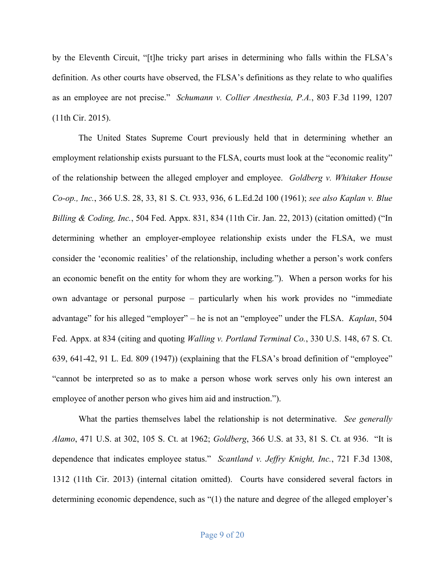by the Eleventh Circuit, "[t]he tricky part arises in determining who falls within the FLSA's definition. As other courts have observed, the FLSA's definitions as they relate to who qualifies as an employee are not precise." *Schumann v. Collier Anesthesia, P.A.*, 803 F.3d 1199, 1207 (11th Cir. 2015).

The United States Supreme Court previously held that in determining whether an employment relationship exists pursuant to the FLSA, courts must look at the "economic reality" of the relationship between the alleged employer and employee. *Goldberg v. Whitaker House Co-op., Inc.*, 366 U.S. 28, 33, 81 S. Ct. 933, 936, 6 L.Ed.2d 100 (1961); *see also Kaplan v. Blue Billing & Coding, Inc.*, 504 Fed. Appx. 831, 834 (11th Cir. Jan. 22, 2013) (citation omitted) ("In determining whether an employer-employee relationship exists under the FLSA, we must consider the 'economic realities' of the relationship, including whether a person's work confers an economic benefit on the entity for whom they are working*.*").When a person works for his own advantage or personal purpose – particularly when his work provides no "immediate advantage" for his alleged "employer" – he is not an "employee" under the FLSA. *Kaplan*, 504 Fed. Appx. at 834 (citing and quoting *Walling v. Portland Terminal Co.*, 330 U.S. 148, 67 S. Ct. 639, 641-42, 91 L. Ed. 809 (1947)) (explaining that the FLSA's broad definition of "employee" "cannot be interpreted so as to make a person whose work serves only his own interest an employee of another person who gives him aid and instruction.").

What the parties themselves label the relationship is not determinative. *See generally Alamo*, 471 U.S. at 302, 105 S. Ct. at 1962; *Goldberg*, 366 U.S. at 33, 81 S. Ct. at 936. "It is dependence that indicates employee status." *Scantland v. Jeffry Knight, Inc.*, 721 F.3d 1308, 1312 (11th Cir. 2013) (internal citation omitted). Courts have considered several factors in determining economic dependence, such as "(1) the nature and degree of the alleged employer's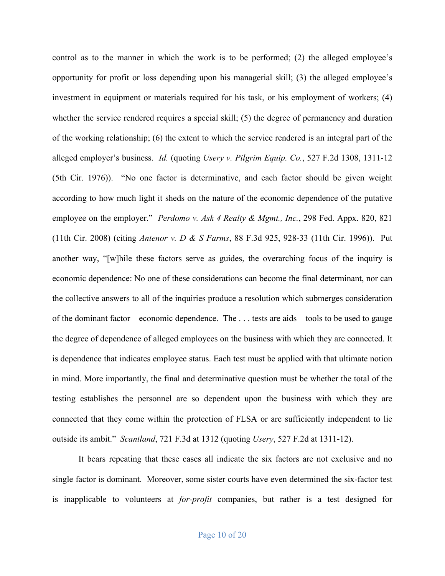control as to the manner in which the work is to be performed; (2) the alleged employee's opportunity for profit or loss depending upon his managerial skill; (3) the alleged employee's investment in equipment or materials required for his task, or his employment of workers; (4) whether the service rendered requires a special skill; (5) the degree of permanency and duration of the working relationship; (6) the extent to which the service rendered is an integral part of the alleged employer's business. *Id.* (quoting *Usery v. Pilgrim Equip. Co.*, 527 F.2d 1308, 1311-12 (5th Cir. 1976)). "No one factor is determinative, and each factor should be given weight according to how much light it sheds on the nature of the economic dependence of the putative employee on the employer." *Perdomo v. Ask 4 Realty & Mgmt., Inc.*, 298 Fed. Appx. 820, 821 (11th Cir. 2008) (citing *Antenor v. D & S Farms*, 88 F.3d 925, 928-33 (11th Cir. 1996)). Put another way, "[w]hile these factors serve as guides, the overarching focus of the inquiry is economic dependence: No one of these considerations can become the final determinant, nor can the collective answers to all of the inquiries produce a resolution which submerges consideration of the dominant factor – economic dependence. The . . . tests are aids – tools to be used to gauge the degree of dependence of alleged employees on the business with which they are connected. It is dependence that indicates employee status. Each test must be applied with that ultimate notion in mind. More importantly, the final and determinative question must be whether the total of the testing establishes the personnel are so dependent upon the business with which they are connected that they come within the protection of FLSA or are sufficiently independent to lie outside its ambit." *Scantland*, 721 F.3d at 1312 (quoting *Usery*, 527 F.2d at 1311-12).

It bears repeating that these cases all indicate the six factors are not exclusive and no single factor is dominant. Moreover, some sister courts have even determined the six-factor test is inapplicable to volunteers at *for-profit* companies, but rather is a test designed for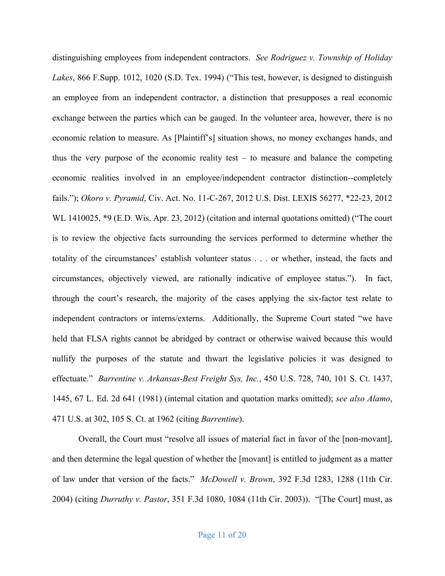distinguishing employees from independent contractors. *See Rodriguez v. Township of Holiday Lakes*, 866 F.Supp. 1012, 1020 (S.D. Tex. 1994) ("This test, however, is designed to distinguish an employee from an independent contractor, a distinction that presupposes a real economic exchange between the parties which can be gauged. In the volunteer area, however, there is no economic relation to measure. As [Plaintiff's] situation shows, no money exchanges hands, and thus the very purpose of the economic reality test  $-$  to measure and balance the competing economic realities involved in an employee/independent contractor distinction--completely fails."); *Okoro v. Pyramid*, Civ. Act. No. 11-C-267, 2012 U.S. Dist. LEXIS 56277, \*22-23, 2012 WL 1410025, \*9 (E.D. Wis. Apr. 23, 2012) (citation and internal quotations omitted) ("The court is to review the objective facts surrounding the services performed to determine whether the totality of the circumstances' establish volunteer status . . . or whether, instead, the facts and circumstances, objectively viewed, are rationally indicative of employee status."). In fact, through the court's research, the majority of the cases applying the six-factor test relate to independent contractors or interns/externs. Additionally, the Supreme Court stated "we have held that FLSA rights cannot be abridged by contract or otherwise waived because this would nullify the purposes of the statute and thwart the legislative policies it was designed to effectuate." *Barrentine v. Arkansas-Best Freight Sys, Inc.*, 450 U.S. 728, 740, 101 S. Ct. 1437, 1445, 67 L. Ed. 2d 641 (1981) (internal citation and quotation marks omitted); *see also Alamo*, 471 U.S. at 302, 105 S. Ct. at 1962 (citing *Barrentine*).

Overall, the Court must "resolve all issues of material fact in favor of the [non-movant], and then determine the legal question of whether the [movant] is entitled to judgment as a matter of law under that version of the facts." *McDowell v. Brown*, 392 F.3d 1283, 1288 (11th Cir. 2004) (citing *Durruthy v. Pastor*, 351 F.3d 1080, 1084 (11th Cir. 2003)). "[The Court] must, as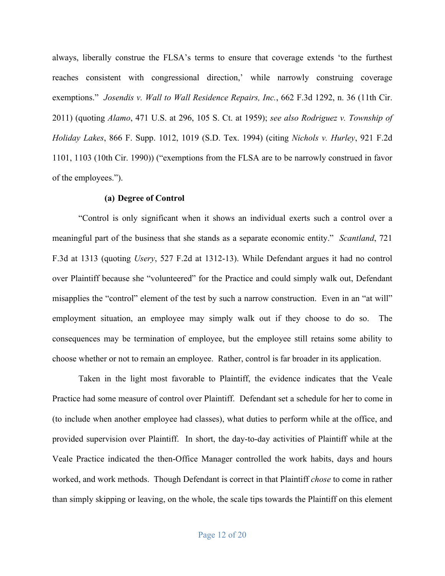always, liberally construe the FLSA's terms to ensure that coverage extends 'to the furthest reaches consistent with congressional direction,' while narrowly construing coverage exemptions." *Josendis v. Wall to Wall Residence Repairs, Inc.*, 662 F.3d 1292, n. 36 (11th Cir. 2011) (quoting *Alamo*, 471 U.S. at 296, 105 S. Ct. at 1959); *see also Rodriguez v. Township of Holiday Lakes*, 866 F. Supp. 1012, 1019 (S.D. Tex. 1994) (citing *Nichols v. Hurley*, 921 F.2d 1101, 1103 (10th Cir. 1990)) ("exemptions from the FLSA are to be narrowly construed in favor of the employees.").

## **(a) Degree of Control**

"Control is only significant when it shows an individual exerts such a control over a meaningful part of the business that she stands as a separate economic entity." *Scantland*, 721 F.3d at 1313 (quoting *Usery*, 527 F.2d at 1312-13). While Defendant argues it had no control over Plaintiff because she "volunteered" for the Practice and could simply walk out, Defendant misapplies the "control" element of the test by such a narrow construction. Even in an "at will" employment situation, an employee may simply walk out if they choose to do so. The consequences may be termination of employee, but the employee still retains some ability to choose whether or not to remain an employee. Rather, control is far broader in its application.

Taken in the light most favorable to Plaintiff, the evidence indicates that the Veale Practice had some measure of control over Plaintiff. Defendant set a schedule for her to come in (to include when another employee had classes), what duties to perform while at the office, and provided supervision over Plaintiff. In short, the day-to-day activities of Plaintiff while at the Veale Practice indicated the then-Office Manager controlled the work habits, days and hours worked, and work methods. Though Defendant is correct in that Plaintiff *chose* to come in rather than simply skipping or leaving, on the whole, the scale tips towards the Plaintiff on this element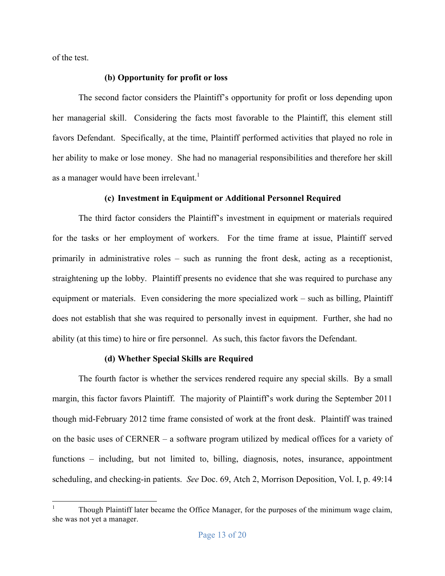of the test.

## **(b) Opportunity for profit or loss**

The second factor considers the Plaintiff's opportunity for profit or loss depending upon her managerial skill. Considering the facts most favorable to the Plaintiff, this element still favors Defendant. Specifically, at the time, Plaintiff performed activities that played no role in her ability to make or lose money. She had no managerial responsibilities and therefore her skill as a manager would have been irrelevant.<sup>1</sup>

## **(c) Investment in Equipment or Additional Personnel Required**

The third factor considers the Plaintiff's investment in equipment or materials required for the tasks or her employment of workers. For the time frame at issue, Plaintiff served primarily in administrative roles – such as running the front desk, acting as a receptionist, straightening up the lobby. Plaintiff presents no evidence that she was required to purchase any equipment or materials. Even considering the more specialized work – such as billing, Plaintiff does not establish that she was required to personally invest in equipment. Further, she had no ability (at this time) to hire or fire personnel. As such, this factor favors the Defendant.

## **(d) Whether Special Skills are Required**

The fourth factor is whether the services rendered require any special skills. By a small margin, this factor favors Plaintiff. The majority of Plaintiff's work during the September 2011 though mid-February 2012 time frame consisted of work at the front desk. Plaintiff was trained on the basic uses of CERNER – a software program utilized by medical offices for a variety of functions – including, but not limited to, billing, diagnosis, notes, insurance, appointment scheduling, and checking-in patients. *See* Doc. 69, Atch 2, Morrison Deposition, Vol. I, p. 49:14

 <sup>1</sup> Though Plaintiff later became the Office Manager, for the purposes of the minimum wage claim, she was not yet a manager.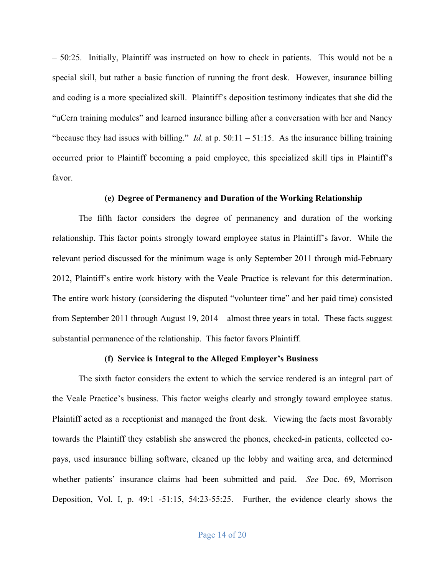– 50:25. Initially, Plaintiff was instructed on how to check in patients. This would not be a special skill, but rather a basic function of running the front desk. However, insurance billing and coding is a more specialized skill. Plaintiff's deposition testimony indicates that she did the "uCern training modules" and learned insurance billing after a conversation with her and Nancy "because they had issues with billing." *Id.* at p. 50:11 – 51:15. As the insurance billing training occurred prior to Plaintiff becoming a paid employee, this specialized skill tips in Plaintiff's favor.

## **(e) Degree of Permanency and Duration of the Working Relationship**

The fifth factor considers the degree of permanency and duration of the working relationship. This factor points strongly toward employee status in Plaintiff's favor. While the relevant period discussed for the minimum wage is only September 2011 through mid-February 2012, Plaintiff's entire work history with the Veale Practice is relevant for this determination. The entire work history (considering the disputed "volunteer time" and her paid time) consisted from September 2011 through August 19, 2014 – almost three years in total. These facts suggest substantial permanence of the relationship. This factor favors Plaintiff.

#### **(f) Service is Integral to the Alleged Employer's Business**

The sixth factor considers the extent to which the service rendered is an integral part of the Veale Practice's business. This factor weighs clearly and strongly toward employee status. Plaintiff acted as a receptionist and managed the front desk. Viewing the facts most favorably towards the Plaintiff they establish she answered the phones, checked-in patients, collected copays, used insurance billing software, cleaned up the lobby and waiting area, and determined whether patients' insurance claims had been submitted and paid. *See* Doc. 69, Morrison Deposition, Vol. I, p. 49:1 -51:15, 54:23-55:25. Further, the evidence clearly shows the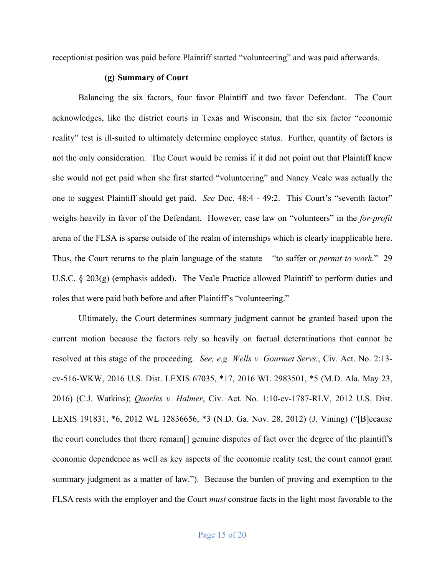receptionist position was paid before Plaintiff started "volunteering" and was paid afterwards.

## **(g) Summary of Court**

Balancing the six factors, four favor Plaintiff and two favor Defendant. The Court acknowledges, like the district courts in Texas and Wisconsin, that the six factor "economic reality" test is ill-suited to ultimately determine employee status. Further, quantity of factors is not the only consideration. The Court would be remiss if it did not point out that Plaintiff knew she would not get paid when she first started "volunteering" and Nancy Veale was actually the one to suggest Plaintiff should get paid. *See* Doc. 48:4 - 49:2. This Court's "seventh factor" weighs heavily in favor of the Defendant. However, case law on "volunteers" in the *for-profit* arena of the FLSA is sparse outside of the realm of internships which is clearly inapplicable here. Thus, the Court returns to the plain language of the statute – "to suffer or *permit to work*." 29 U.S.C. § 203(g) (emphasis added). The Veale Practice allowed Plaintiff to perform duties and roles that were paid both before and after Plaintiff's "volunteering."

Ultimately, the Court determines summary judgment cannot be granted based upon the current motion because the factors rely so heavily on factual determinations that cannot be resolved at this stage of the proceeding. *See, e.g. Wells v. Gourmet Servs.*, Civ. Act. No. 2:13 cv-516-WKW, 2016 U.S. Dist. LEXIS 67035, \*17, 2016 WL 2983501, \*5 (M.D. Ala. May 23, 2016) (C.J. Watkins); *Quarles v. Halmer*, Civ. Act. No. 1:10-cv-1787-RLV, 2012 U.S. Dist. LEXIS 191831, \*6, 2012 WL 12836656, \*3 (N.D. Ga. Nov. 28, 2012) (J. Vining) ("[B]ecause the court concludes that there remain[] genuine disputes of fact over the degree of the plaintiff's economic dependence as well as key aspects of the economic reality test, the court cannot grant summary judgment as a matter of law."). Because the burden of proving and exemption to the FLSA rests with the employer and the Court *must* construe facts in the light most favorable to the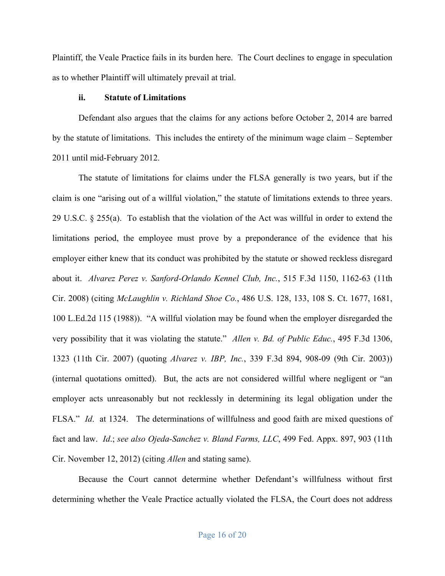Plaintiff, the Veale Practice fails in its burden here. The Court declines to engage in speculation as to whether Plaintiff will ultimately prevail at trial.

## **ii. Statute of Limitations**

Defendant also argues that the claims for any actions before October 2, 2014 are barred by the statute of limitations. This includes the entirety of the minimum wage claim – September 2011 until mid-February 2012.

The statute of limitations for claims under the FLSA generally is two years, but if the claim is one "arising out of a willful violation," the statute of limitations extends to three years. 29 U.S.C. § 255(a). To establish that the violation of the Act was willful in order to extend the limitations period, the employee must prove by a preponderance of the evidence that his employer either knew that its conduct was prohibited by the statute or showed reckless disregard about it. *Alvarez Perez v. Sanford-Orlando Kennel Club, Inc.*, 515 F.3d 1150, 1162-63 (11th Cir. 2008) (citing *McLaughlin v. Richland Shoe Co.*, 486 U.S. 128, 133, 108 S. Ct. 1677, 1681, 100 L.Ed.2d 115 (1988)). "A willful violation may be found when the employer disregarded the very possibility that it was violating the statute." *Allen v. Bd. of Public Educ.*, 495 F.3d 1306, 1323 (11th Cir. 2007) (quoting *Alvarez v. IBP, Inc.*, 339 F.3d 894, 908-09 (9th Cir. 2003)) (internal quotations omitted). But, the acts are not considered willful where negligent or "an employer acts unreasonably but not recklessly in determining its legal obligation under the FLSA." *Id*. at 1324. The determinations of willfulness and good faith are mixed questions of fact and law. *Id*.; *see also Ojeda-Sanchez v. Bland Farms, LLC*, 499 Fed. Appx. 897, 903 (11th Cir. November 12, 2012) (citing *Allen* and stating same).

Because the Court cannot determine whether Defendant's willfulness without first determining whether the Veale Practice actually violated the FLSA, the Court does not address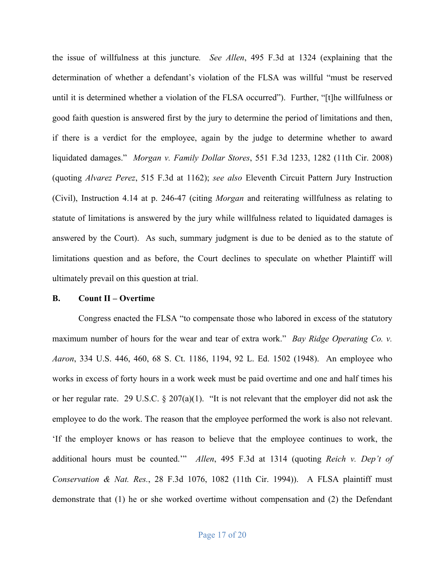the issue of willfulness at this juncture*. See Allen*, 495 F.3d at 1324 (explaining that the determination of whether a defendant's violation of the FLSA was willful "must be reserved until it is determined whether a violation of the FLSA occurred"). Further, "[t]he willfulness or good faith question is answered first by the jury to determine the period of limitations and then, if there is a verdict for the employee, again by the judge to determine whether to award liquidated damages." *Morgan v. Family Dollar Stores*, 551 F.3d 1233, 1282 (11th Cir. 2008) (quoting *Alvarez Perez*, 515 F.3d at 1162); *see also* Eleventh Circuit Pattern Jury Instruction (Civil), Instruction 4.14 at p. 246-47 (citing *Morgan* and reiterating willfulness as relating to statute of limitations is answered by the jury while willfulness related to liquidated damages is answered by the Court). As such, summary judgment is due to be denied as to the statute of limitations question and as before, the Court declines to speculate on whether Plaintiff will ultimately prevail on this question at trial.

#### **B. Count II – Overtime**

Congress enacted the FLSA "to compensate those who labored in excess of the statutory maximum number of hours for the wear and tear of extra work." *Bay Ridge Operating Co. v. Aaron*, 334 U.S. 446, 460, 68 S. Ct. 1186, 1194, 92 L. Ed. 1502 (1948). An employee who works in excess of forty hours in a work week must be paid overtime and one and half times his or her regular rate. 29 U.S.C. § 207(a)(1). "It is not relevant that the employer did not ask the employee to do the work. The reason that the employee performed the work is also not relevant. 'If the employer knows or has reason to believe that the employee continues to work, the additional hours must be counted.'" *Allen*, 495 F.3d at 1314 (quoting *Reich v. Dep't of Conservation & Nat. Res.*, 28 F.3d 1076, 1082 (11th Cir. 1994)). A FLSA plaintiff must demonstrate that (1) he or she worked overtime without compensation and (2) the Defendant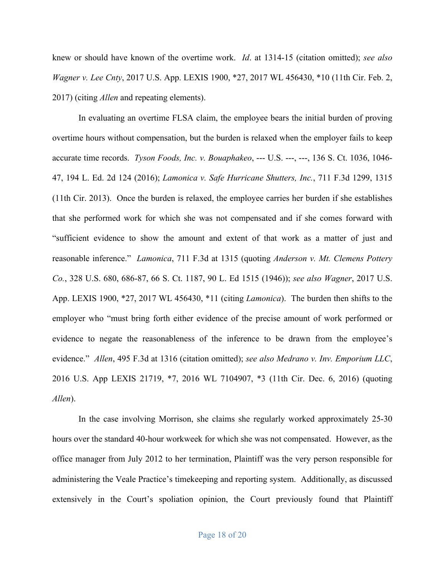knew or should have known of the overtime work. *Id*. at 1314-15 (citation omitted); *see also Wagner v. Lee Cnty*, 2017 U.S. App. LEXIS 1900, \*27, 2017 WL 456430, \*10 (11th Cir. Feb. 2, 2017) (citing *Allen* and repeating elements).

In evaluating an overtime FLSA claim, the employee bears the initial burden of proving overtime hours without compensation, but the burden is relaxed when the employer fails to keep accurate time records. *Tyson Foods, Inc. v. Bouaphakeo*, --- U.S. ---, ---, 136 S. Ct. 1036, 1046- 47, 194 L. Ed. 2d 124 (2016); *Lamonica v. Safe Hurricane Shutters, Inc.*, 711 F.3d 1299, 1315 (11th Cir. 2013). Once the burden is relaxed, the employee carries her burden if she establishes that she performed work for which she was not compensated and if she comes forward with "sufficient evidence to show the amount and extent of that work as a matter of just and reasonable inference." *Lamonica*, 711 F.3d at 1315 (quoting *Anderson v. Mt. Clemens Pottery Co.*, 328 U.S. 680, 686-87, 66 S. Ct. 1187, 90 L. Ed 1515 (1946)); *see also Wagner*, 2017 U.S. App. LEXIS 1900, \*27, 2017 WL 456430, \*11 (citing *Lamonica*). The burden then shifts to the employer who "must bring forth either evidence of the precise amount of work performed or evidence to negate the reasonableness of the inference to be drawn from the employee's evidence." *Allen*, 495 F.3d at 1316 (citation omitted); *see also Medrano v. Inv. Emporium LLC*, 2016 U.S. App LEXIS 21719, \*7, 2016 WL 7104907, \*3 (11th Cir. Dec. 6, 2016) (quoting *Allen*).

In the case involving Morrison, she claims she regularly worked approximately 25-30 hours over the standard 40-hour workweek for which she was not compensated. However, as the office manager from July 2012 to her termination, Plaintiff was the very person responsible for administering the Veale Practice's timekeeping and reporting system. Additionally, as discussed extensively in the Court's spoliation opinion, the Court previously found that Plaintiff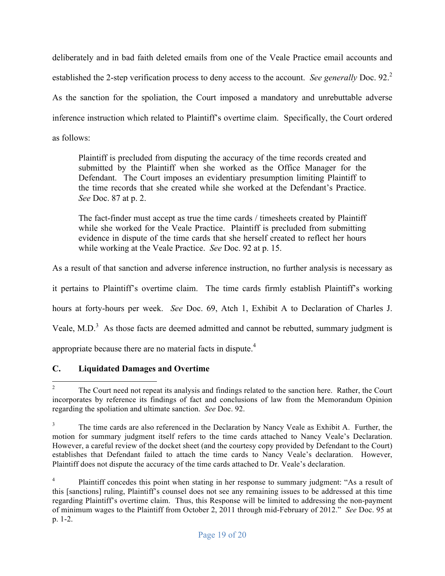deliberately and in bad faith deleted emails from one of the Veale Practice email accounts and established the 2-step verification process to deny access to the account. *See generally* Doc. 92.<sup>2</sup> As the sanction for the spoliation, the Court imposed a mandatory and unrebuttable adverse inference instruction which related to Plaintiff's overtime claim. Specifically, the Court ordered as follows:

Plaintiff is precluded from disputing the accuracy of the time records created and submitted by the Plaintiff when she worked as the Office Manager for the Defendant. The Court imposes an evidentiary presumption limiting Plaintiff to the time records that she created while she worked at the Defendant's Practice. *See* Doc. 87 at p. 2.

The fact-finder must accept as true the time cards / timesheets created by Plaintiff while she worked for the Veale Practice. Plaintiff is precluded from submitting evidence in dispute of the time cards that she herself created to reflect her hours while working at the Veale Practice. *See* Doc. 92 at p. 15.

As a result of that sanction and adverse inference instruction, no further analysis is necessary as

it pertains to Plaintiff's overtime claim. The time cards firmly establish Plaintiff's working

hours at forty-hours per week. *See* Doc. 69, Atch 1, Exhibit A to Declaration of Charles J.

Veale, M.D. $3$  As those facts are deemed admitted and cannot be rebutted, summary judgment is

appropriate because there are no material facts in dispute. $4$ 

# **C. Liquidated Damages and Overtime**

<sup>&</sup>lt;sup>2</sup> The Court need not repeat its analysis and findings related to the sanction here. Rather, the Court incorporates by reference its findings of fact and conclusions of law from the Memorandum Opinion regarding the spoliation and ultimate sanction. *See* Doc. 92.

<sup>3</sup> The time cards are also referenced in the Declaration by Nancy Veale as Exhibit A. Further, the motion for summary judgment itself refers to the time cards attached to Nancy Veale's Declaration. However, a careful review of the docket sheet (and the courtesy copy provided by Defendant to the Court) establishes that Defendant failed to attach the time cards to Nancy Veale's declaration. However, Plaintiff does not dispute the accuracy of the time cards attached to Dr. Veale's declaration.

<sup>&</sup>lt;sup>4</sup> Plaintiff concedes this point when stating in her response to summary judgment: "As a result of this [sanctions] ruling, Plaintiff's counsel does not see any remaining issues to be addressed at this time regarding Plaintiff's overtime claim. Thus, this Response will be limited to addressing the non-payment of minimum wages to the Plaintiff from October 2, 2011 through mid-February of 2012." *See* Doc. 95 at p. 1-2.